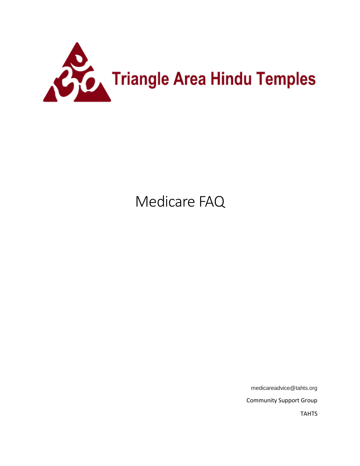

# Medicare FAQ

medicareadvice@tahts.org

Community Support Group

TAHTS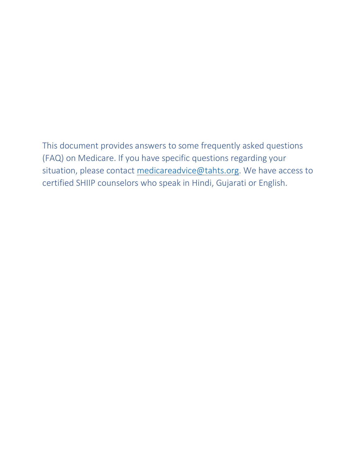This document provides answers to some frequently asked questions (FAQ) on Medicare. If you have specific questions regarding your situation, please contact [medicareadvice@tahts.org.](mailto:medicareadvice@tahts.org) We have access to certified SHIIP counselors who speak in Hindi, Gujarati or English.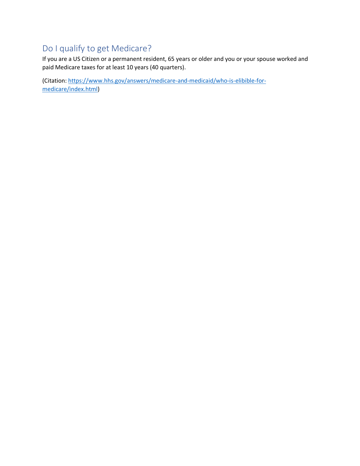# Do I qualify to get Medicare?

If you are a US Citizen or a permanent resident, 65 years or older and you or your spouse worked and paid Medicare taxes for at least 10 years (40 quarters).

(Citation: [https://www.hhs.gov/answers/medicare-and-medicaid/who-is-elibible-for](https://www.hhs.gov/answers/medicare-and-medicaid/who-is-elibible-for-medicare/index.html)[medicare/index.html\)](https://www.hhs.gov/answers/medicare-and-medicaid/who-is-elibible-for-medicare/index.html)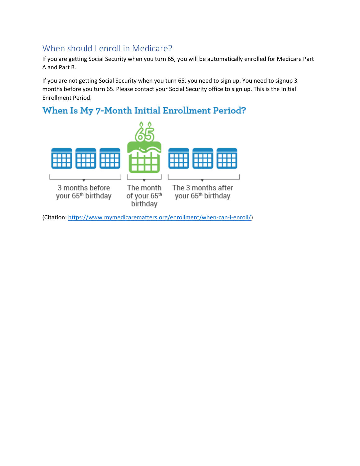### When should I enroll in Medicare?

If you are getting Social Security when you turn 65, you will be automatically enrolled for Medicare Part A and Part B.

If you are not getting Social Security when you turn 65, you need to sign up. You need to signup 3 months before you turn 65. Please contact your Social Security office to sign up. This is the Initial Enrollment Period.

# When Is My 7-Month Initial Enrollment Period?



(Citation: [https://www.mymedicarematters.org/enrollment/when-can-i-enroll/\)](https://www.mymedicarematters.org/enrollment/when-can-i-enroll/)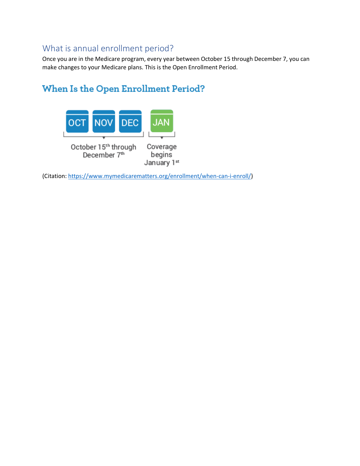#### What is annual enrollment period?

Once you are in the Medicare program, every year between October 15 through December 7, you can make changes to your Medicare plans. This is the Open Enrollment Period.

# When Is the Open Enrollment Period?



(Citation: [https://www.mymedicarematters.org/enrollment/when-can-i-enroll/\)](https://www.mymedicarematters.org/enrollment/when-can-i-enroll/)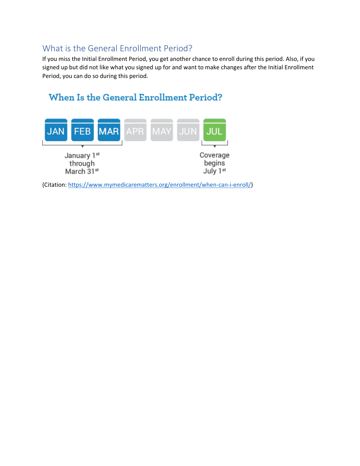### What is the General Enrollment Period?

If you miss the Initial Enrollment Period, you get another chance to enroll during this period. Also, if you signed up but did not like what you signed up for and want to make changes after the Initial Enrollment Period, you can do so during this period.

# When Is the General Enrollment Period?



(Citation: [https://www.mymedicarematters.org/enrollment/when-can-i-enroll/\)](https://www.mymedicarematters.org/enrollment/when-can-i-enroll/)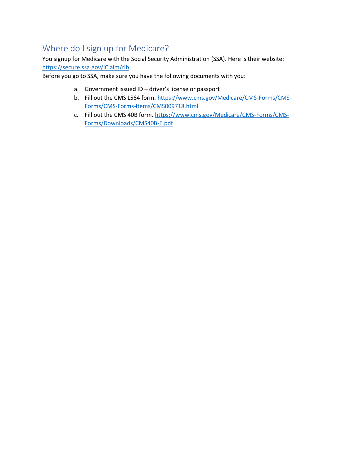# Where do I sign up for Medicare?

You signup for Medicare with the Social Security Administration (SSA). Here is their website: <https://secure.ssa.gov/iClaim/rib>

Before you go to SSA, make sure you have the following documents with you:

- a. Government issued ID driver's license or passport
- b. Fill out the CMS L564 form. [https://www.cms.gov/Medicare/CMS-Forms/CMS-](https://www.cms.gov/Medicare/CMS-Forms/CMS-Forms/CMS-Forms-Items/CMS009718.html)[Forms/CMS-Forms-Items/CMS009718.html](https://www.cms.gov/Medicare/CMS-Forms/CMS-Forms/CMS-Forms-Items/CMS009718.html)
- c. Fill out the CMS 40B form. [https://www.cms.gov/Medicare/CMS-Forms/CMS-](https://www.cms.gov/Medicare/CMS-Forms/CMS-Forms/Downloads/CMS40B-E.pdf)[Forms/Downloads/CMS40B-E.pdf](https://www.cms.gov/Medicare/CMS-Forms/CMS-Forms/Downloads/CMS40B-E.pdf)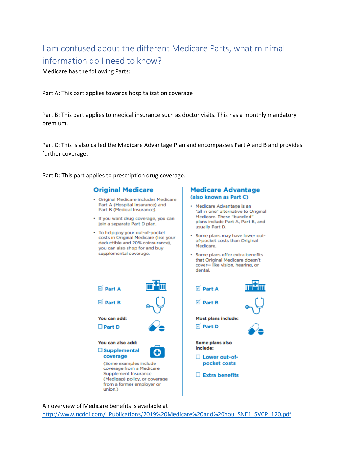# I am confused about the different Medicare Parts, what minimal information do I need to know?

Medicare has the following Parts:

Part A: This part applies towards hospitalization coverage

Part B: This part applies to medical insurance such as doctor visits. This has a monthly mandatory premium.

Part C: This is also called the Medicare Advantage Plan and encompasses Part A and B and provides further coverage.

Part D: This part applies to prescription drug coverage.

D Part A

D Part B

You can add:

You can also add:

 $\square$  Supplemental coverage

(Some examples include

coverage from a Medicare Supplement Insurance

(Medigap) policy, or coverage from a former employer or

 $\Box$  Part D

#### **Original Medicare**

- · Original Medicare includes Medicare Part A (Hospital Insurance) and Part B (Medical Insurance).
- · If you want drug coverage, you can join a separate Part D plan.
- · To help pay your out-of-pocket costs in Original Medicare (like your deductible and 20% coinsurance), you can also shop for and buy supplemental coverage.

#### **Medicare Advantage** (also known as Part C)

- Medicare Advantage is an "all in one" alternative to Original Medicare. These "bundled" plans include Part A, Part B, and usually Part D.
- Some plans may have lower outof-pocket costs than Original Medicare.
- · Some plans offer extra benefits that Original Medicare doesn't cover- like vision, hearing, or dental.



An overview of Medicare benefits is available at

union.)

[http://www.ncdoi.com/\\_Publications/2019%20Medicare%20and%20You\\_SNE1\\_SVCP\\_120.pdf](http://www.ncdoi.com/_Publications/2019%20Medicare%20and%20You_SNE1_SVCP_120.pdf)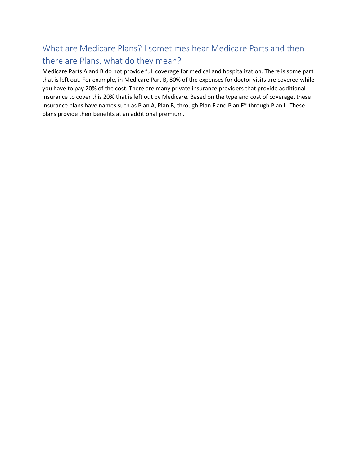# What are Medicare Plans? I sometimes hear Medicare Parts and then there are Plans, what do they mean?

Medicare Parts A and B do not provide full coverage for medical and hospitalization. There is some part that is left out. For example, in Medicare Part B, 80% of the expenses for doctor visits are covered while you have to pay 20% of the cost. There are many private insurance providers that provide additional insurance to cover this 20% that is left out by Medicare. Based on the type and cost of coverage, these insurance plans have names such as Plan A, Plan B, through Plan F and Plan F\* through Plan L. These plans provide their benefits at an additional premium.